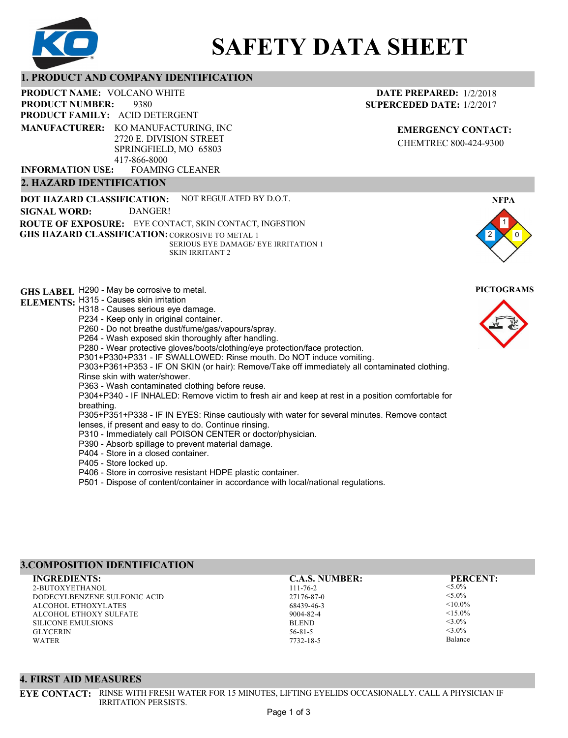

# **SAFETY DATA SHEET**

#### **1. PRODUCT AND COMPANY IDENTIFICATION**

9380 PRODUCT NAME: VOLCANO WHITE **PRODUCT FAMILY: ACID DETERGENT** FOAMING CLEANER **PRODUCT NUMBER: MANUFACTURER:** KO MANUFACTURING, INC 2720 E. DIVISION STREET SPRINGFIELD, MO 65803 417-866-8000 **INFORMATION USE:**

# **2. HAZARD IDENTIFICATION**

**DOT HAZARD CLASSIFICATION: GHS HAZARD CLASSIFICATION:** CORROSIVE TO METAL 1 **ROUTE OF EXPOSURE:** EYE CONTACT, SKIN CONTACT, INGESTION NOT REGULATED BY D.O.T. SERIOUS EYE DAMAGE/ EYE IRRITATION 1 SKIN IRRITANT 2 **SIGNAL WORD:** DANGER!

**GHS LABEL**  H290 - May be corrosive to metal. **PICTOGRAMS ELEMENTS:** H315 - Causes skin irritation H318 - Causes serious eye damage. P234 - Keep only in original container. P260 - Do not breathe dust/fume/gas/vapours/spray. P264 - Wash exposed skin thoroughly after handling. P280 - Wear protective gloves/boots/clothing/eye protection/face protection. P301+P330+P331 - IF SWALLOWED: Rinse mouth. Do NOT induce vomiting. P303+P361+P353 - IF ON SKIN (or hair): Remove/Take off immediately all contaminated clothing. Rinse skin with water/shower. P363 - Wash contaminated clothing before reuse. P304+P340 - IF INHALED: Remove victim to fresh air and keep at rest in a position comfortable for breathing. P305+P351+P338 - IF IN EYES: Rinse cautiously with water for several minutes. Remove contact lenses, if present and easy to do. Continue rinsing. P310 - Immediately call POISON CENTER or doctor/physician. P390 - Absorb spillage to prevent material damage. P404 - Store in a closed container. P405 - Store locked up.

- P406 Store in corrosive resistant HDPE plastic container.
- P501 Dispose of content/container in accordance with local/national regulations.

## **3.COMPOSITION IDENTIFICATION**

2-BUTOXYETHANOL DODECYLBENZENE SULFONIC ACID ALCOHOL ETHOXYLATES ALCOHOL ETHOXY SULFATE SILICONE EMULSIONS **GLYCERIN** WATER **INGREDIENTS: C.A.S. NUMBER: PERCENT:**

111-76-2 27176-87-0 68439-46-3 9004-82-4 **BLEND** 56-81-5 7732-18-5

 $< 5.0\%$  $< 5.0\%$  $< 10.0\%$  $<15.0%$  $<$ 3.0%  $<3.0\%$ 

Balance

# **4. FIRST AID MEASURES**

**EYE CONTACT:** RINSE WITH FRESH WATER FOR 15 MINUTES, LIFTING EYELIDS OCCASIONALLY. CALL A PHYSICIAN IF IRRITATION PERSISTS.

## **DATE PREPARED:** 1/2/2018 **SUPERCEDED DATE:** 1/2/2017

**EMERGENCY CONTACT:** CHEMTREC 800-424-9300

1 0

**NFPA**

2

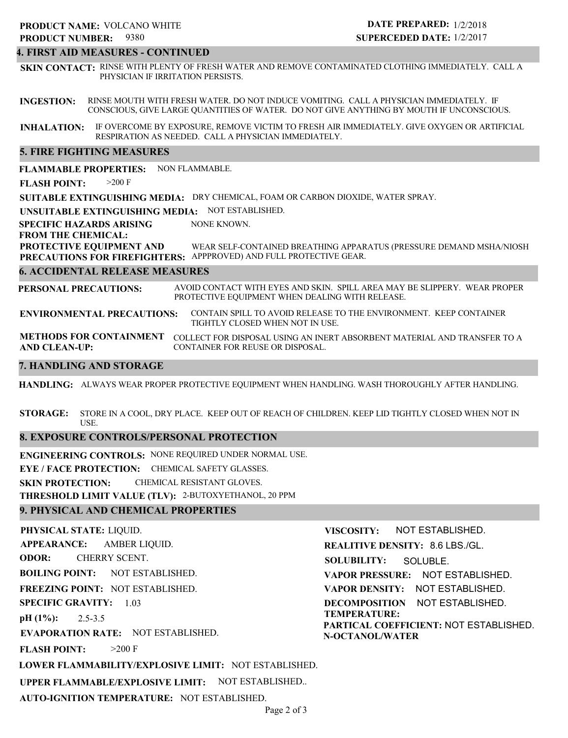# **4. FIRST AID MEASURES - CONTINUED**

**SKIN CONTACT:** RINSE WITH PLENTY OF FRESH WATER AND REMOVE CONTAMINATED CLOTHING IMMEDIATELY. CALL A PHYSICIAN IF IRRITATION PERSISTS.

**INGESTION:** RINSE MOUTH WITH FRESH WATER. DO NOT INDUCE VOMITING. CALL A PHYSICIAN IMMEDIATELY. IF CONSCIOUS, GIVE LARGE QUANTITIES OF WATER. DO NOT GIVE ANYTHING BY MOUTH IF UNCONSCIOUS.

**INHALATION:** IF OVERCOME BY EXPOSURE, REMOVE VICTIM TO FRESH AIR IMMEDIATELY. GIVE OXYGEN OR ARTIFICIAL RESPIRATION AS NEEDED. CALL A PHYSICIAN IMMEDIATELY.

#### **5. FIRE FIGHTING MEASURES**

**FLAMMABLE PROPERTIES:** NON FLAMMABLE.

**FLASH POINT:** >200 F

**SUITABLE EXTINGUISHING MEDIA:** DRY CHEMICAL, FOAM OR CARBON DIOXIDE, WATER SPRAY.

**UNSUITABLE EXTINGUISHING MEDIA:** NOT ESTABLISHED.

**SPECIFIC HAZARDS ARISING** NONE KNOWN.

**FROM THE CHEMICAL:**

**PROTECTIVE EQUIPMENT AND PRECAUTIONS FOR FIREFIGHTERS:** APPPROVED) AND FULL PROTECTIVE GEAR. WEAR SELF-CONTAINED BREATHING APPARATUS (PRESSURE DEMAND MSHA/NIOSH

#### **6. ACCIDENTAL RELEASE MEASURES**

**PERSONAL PRECAUTIONS:** AVOID CONTACT WITH EYES AND SKIN. SPILL AREA MAY BE SLIPPERY. WEAR PROPER PROTECTIVE EQUIPMENT WHEN DEALING WITH RELEASE.

**ENVIRONMENTAL PRECAUTIONS:** CONTAIN SPILL TO AVOID RELEASE TO THE ENVIRONMENT. KEEP CONTAINER TIGHTLY CLOSED WHEN NOT IN USE.

**METHODS FOR CONTAINMENT** COLLECT FOR DISPOSAL USING AN INERT ABSORBENT MATERIAL AND TRANSFER TO A **AND CLEAN-UP:** CONTAINER FOR REUSE OR DISPOSAL.

## **7. HANDLING AND STORAGE**

**HANDLING:** ALWAYS WEAR PROPER PROTECTIVE EQUIPMENT WHEN HANDLING. WASH THOROUGHLY AFTER HANDLING.

**STORAGE:** STORE IN A COOL, DRY PLACE. KEEP OUT OF REACH OF CHILDREN. KEEP LID TIGHTLY CLOSED WHEN NOT IN USE.

#### **8. EXPOSURE CONTROLS/PERSONAL PROTECTION**

**ENGINEERING CONTROLS:** NONE REQUIRED UNDER NORMAL USE. **EYE / FACE PROTECTION:** CHEMICAL SAFETY GLASSES. **SKIN PROTECTION:** CHEMICAL RESISTANT GLOVES. **THRESHOLD LIMIT VALUE (TLV):** 2-BUTOXYETHANOL, 20 PPM

## **9. PHYSICAL AND CHEMICAL PROPERTIES**

**AUTO-IGNITION TEMPERATURE:** NOT ESTABLISHED.

**PHYSICAL STATE:** LIQUID. **APPEARANCE: ODOR: BOILING POINT:** NOT ESTABLISHED. **FREEZING POINT:** NOT ESTABLISHED. **SPECIFIC GRAVITY:** 1.03 **pH (1%): EVAPORATION RATE:** NOT ESTABLISHED. **FLASH POINT: LOWER FLAMMABILITY/EXPLOSIVE LIMIT:** NOT ESTABLISHED. **UPPER FLAMMABLE/EXPLOSIVE LIMIT:** NOT ESTABLISHED.. 2.5-3.5  $>200$  F AMBER LIQUID. CHERRY SCENT. **VISCOSITY: REALITIVE DENSITY:** 8.6 LBS./GL. **SOLUBILITY: VAPOR PRESSURE:** NOT ESTABLISHED. **VAPOR DENSITY:** NOT ESTABLISHED. **DECOMPOSITION** NOT ESTABLISHED. **TEMPERATURE: PARTICAL COEFFICIENT:** NOT ESTABLISHED. **N-OCTANOL/WATER** NOT ESTABLISHED. SOLUBLE.